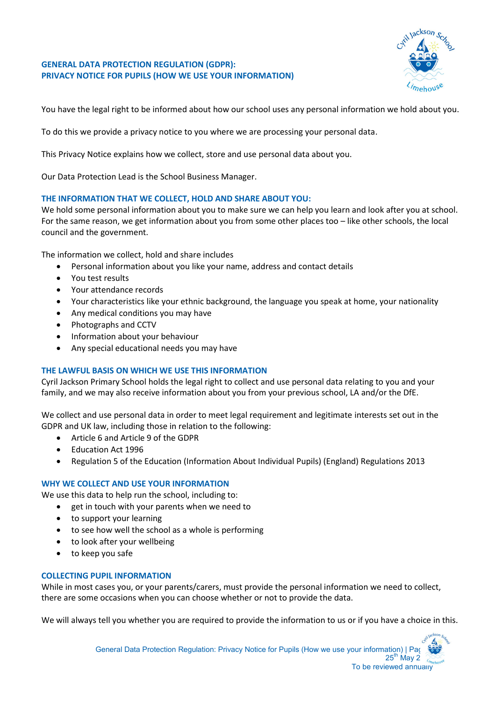# **GENERAL DATA PROTECTION REGULATION (GDPR): PRIVACY NOTICE FOR PUPILS (HOW WE USE YOUR INFORMATION)**



You have the legal right to be informed about how our school uses any personal information we hold about you.

To do this we provide a privacy notice to you where we are processing your personal data.

This Privacy Notice explains how we collect, store and use personal data about you.

Our Data Protection Lead is the School Business Manager.

# **THE INFORMATION THAT WE COLLECT, HOLD AND SHARE ABOUT YOU:**

We hold some personal information about you to make sure we can help you learn and look after you at school. For the same reason, we get information about you from some other places too – like other schools, the local council and the government.

The information we collect, hold and share includes

- Personal information about you like your name, address and contact details
- You test results
- Your attendance records
- Your characteristics like your ethnic background, the language you speak at home, your nationality
- Any medical conditions you may have
- Photographs and CCTV
- Information about your behaviour
- Any special educational needs you may have

# **THE LAWFUL BASIS ON WHICH WE USE THIS INFORMATION**

Cyril Jackson Primary School holds the legal right to collect and use personal data relating to you and your family, and we may also receive information about you from your previous school, LA and/or the DfE.

We collect and use personal data in order to meet legal requirement and legitimate interests set out in the GDPR and UK law, including those in relation to the following:

- Article 6 and Article 9 of the GDPR
- Education Act 1996
- Regulation 5 of the Education (Information About Individual Pupils) (England) Regulations 2013

# **WHY WE COLLECT AND USE YOUR INFORMATION**

We use this data to help run the school, including to:

- get in touch with your parents when we need to
- to support your learning
- to see how well the school as a whole is performing
- to look after your wellbeing
- to keep you safe

# **COLLECTING PUPIL INFORMATION**

While in most cases you, or your parents/carers, must provide the personal information we need to collect, there are some occasions when you can choose whether or not to provide the data.

We will always tell you whether you are required to provide the information to us or if you have a choice in this.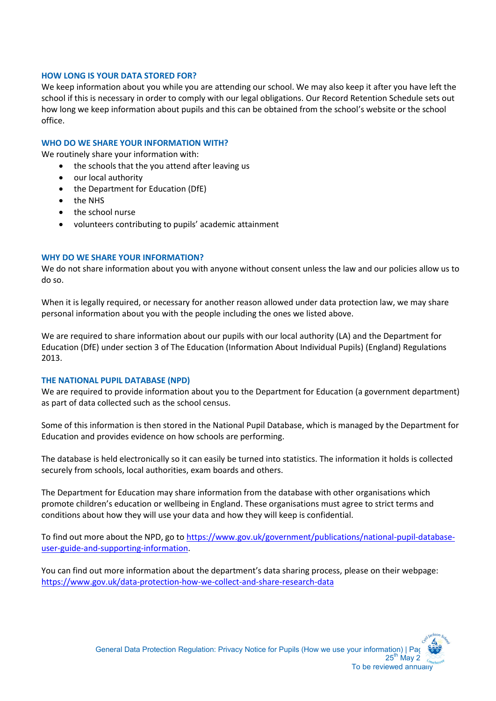### **HOW LONG IS YOUR DATA STORED FOR?**

We keep information about you while you are attending our school. We may also keep it after you have left the school if this is necessary in order to comply with our legal obligations. Our Record Retention Schedule sets out how long we keep information about pupils and this can be obtained from the school's website or the school office.

### **WHO DO WE SHARE YOUR INFORMATION WITH?**

We routinely share your information with:

- the schools that the you attend after leaving us
- our local authority
- the Department for Education (DfE)
- the NHS
- the school nurse
- volunteers contributing to pupils' academic attainment

#### **WHY DO WE SHARE YOUR INFORMATION?**

We do not share information about you with anyone without consent unless the law and our policies allow us to do so.

When it is legally required, or necessary for another reason allowed under data protection law, we may share personal information about you with the people including the ones we listed above.

We are required to share information about our pupils with our local authority (LA) and the Department for Education (DfE) under section 3 of The Education (Information About Individual Pupils) (England) Regulations 2013.

#### **THE NATIONAL PUPIL DATABASE (NPD)**

We are required to provide information about you to the Department for Education (a government department) as part of data collected such as the school census.

Some of this information is then stored in the National Pupil Database, which is managed by the Department for Education and provides evidence on how schools are performing.

The database is held electronically so it can easily be turned into statistics. The information it holds is collected securely from schools, local authorities, exam boards and others.

The Department for Education may share information from the database with other organisations which promote children's education or wellbeing in England. These organisations must agree to strict terms and conditions about how they will use your data and how they will keep is confidential.

To find out more about the NPD, go to [https://www.gov.uk/government/publications/national-pupil-database](https://www.gov.uk/government/publications/national-pupil-database-user-guide-and-supporting-information)[user-guide-and-supporting-information.](https://www.gov.uk/government/publications/national-pupil-database-user-guide-and-supporting-information)

You can find out more information about the department's data sharing process, please on their webpage: <https://www.gov.uk/data-protection-how-we-collect-and-share-research-data>